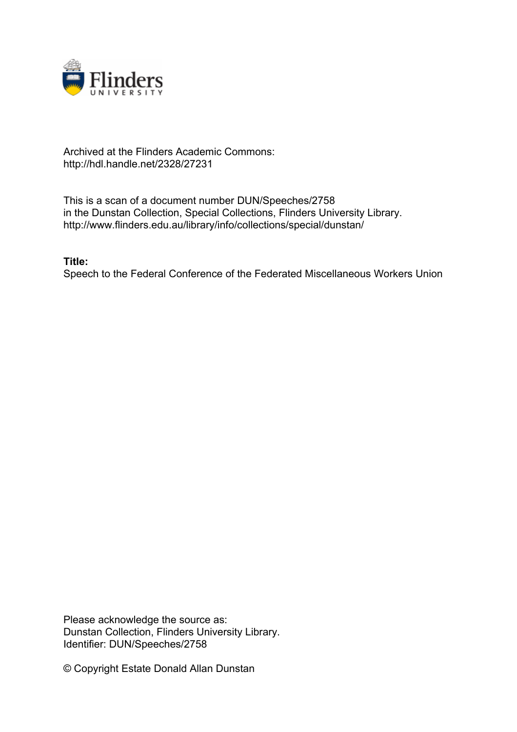

## Archived at the Flinders Academic Commons: http://hdl.handle.net/2328/27231

This is a scan of a document number DUN/Speeches/2758 in the Dunstan Collection, Special Collections, Flinders University Library. http://www.flinders.edu.au/library/info/collections/special/dunstan/

**Title:**

Speech to the Federal Conference of the Federated Miscellaneous Workers Union

Please acknowledge the source as: Dunstan Collection, Flinders University Library. Identifier: DUN/Speeches/2758

© Copyright Estate Donald Allan Dunstan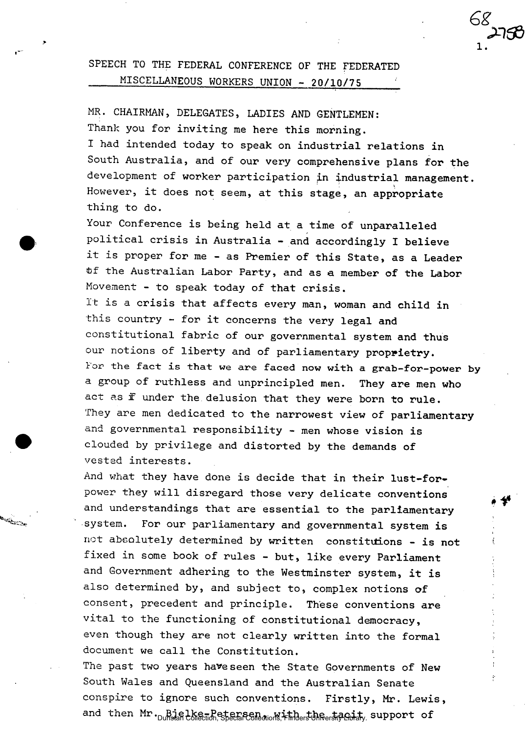## **SPEECH TO THE FEDERAL CONFERENCE OF THE FEDERATED MISCELLANEOUS WORKERS UNION - 20/10/75**

MR. **CHAIRMAN, DELEGATES, LADIES AND GENTLEMEN: Thank you for inviting me here this morning.** 

**I had intended today to speak on industrial relations in South Australia, and of our very comprehensive plans for the development of worker participation in industrial management. However, it does not seem, at this stage, an appropriate thing to do.** 

**Your Conference is being held at a time of unparalleled political crisis in Australia - and accordingly I believe it is proper for me - as Premier of this State, as a Leader fcf the Australian Labor Party, and as a member of the Labor**  Movement **- to speak today of that crisis.** 

It **is** a **crisis that affects every man, woman and child in**  this **country - for it concerns the very legal and constitutional fabric of our governmental system and thus**  our notions of liberty and of parliamentary proprietry. **For the fact is that we are faced now with a grab-for-power by**  a **group of ruthless and unprincipled men. They are men who**  act as if **under the delusion that they were born to rule.**  They **are men dedicated to the narrowest view of parliamentary**  and **governmental responsibility - men whose vision is**  clouded by **privilege and distorted by the demands of**  vested **interests.** 

And what **they have done is decide that in their lust-for**power **they will disregard those very delicate conventions**  and **understandings that are essential to the parliamentary system. For our parliamentary and governmental system is**  not **abeolutely determined by written constitutions - is not fixed in some book of rules - but, like every Parliament and Government adhering to the Westminster system, it is also determined by, and subject to, complex notions of consent, precedent and principle. These conventions are vital to the functioning of constitutional democracy,**  even **though they are not clearly written into the formal document we call the Constitution.** 

**The past two years have seen the State Governments of New South Wales and Queensland and the Australian Senate conspire to ignore such conventions. Firstly, Mr. Lewis,**  and then Mr. Bjelke-Petersen, with the tageith, support of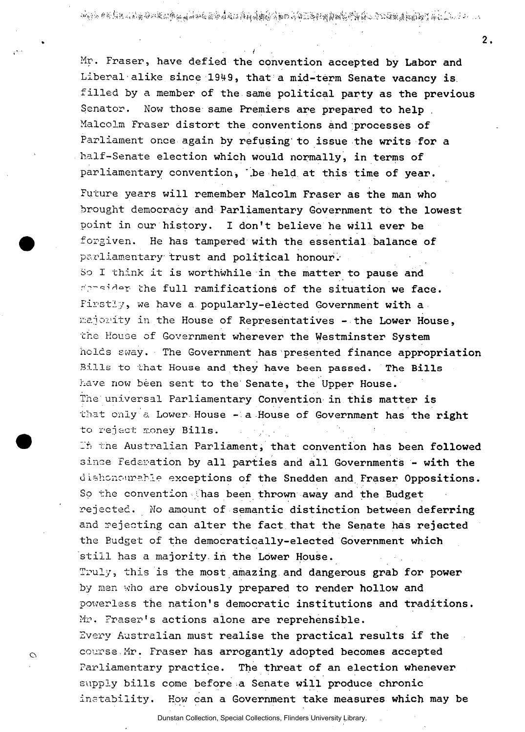2019年10月20日,1999年10月10日,1999年10月10日,1999年10月10日,1999年10月10日,1999年10月10日,1999年10月10日,1999年10月10日,199

 $2.$ 

Mr. Fraser, have **defied the convention accepted by Labor and**  Liberal alike since 1949, that a mid-term Senate vacancy is filled by a **member of the same political party as the previous**  Senator. Now those **same Premiers are prepared to help .**  Malcolm Fraser **distort the conventions and processes of**  Parliament once **again by refusing' to issue the writs for a**  half-Senate **election which would normally, in terms of**  parliamentary **convention, '.be held at this time of year.**  Future years **will remember Malcolm Fraser as the man who**  brought democracy **and Parliamentary Government to the lowest**  point in our **history. I don't believe he will ever be**  forgiven. He has **tampered with the essential balance of**  parliamentary trust and political honour. So I think it is **worthwhile in the matter to pause and**  —th e **full ramifications of the situation we face.**  Firstly, we have a **popularly-elected Government with a**  majority in the **House of Representatives - the Lower House,**  the House of **Government wherever the Westminster System**  holds sway. The **Government has presented finance appropriation**  Bills to that **House and they have been passed. The Bills**  have now been sent **to the Senate, the Upper House.**  The universal **Parliamentary Convention in this matter is**  that only a **Lower House - a House of Government has the right**  to rejact money Bills.

In the Australian **Parliament, that convention has been followed**  since Federation **by all parties and all Governments - with the**  dishonourable **exceptions of the Snedden and. Fraser Oppositions.**  So the convention **has been thrown away and the Budget**  rejected. No **amount of semantic distinction between deferring**  and rejecting can alter the fact that the Senate has rejected the Budget of the **democratically-elected Government which**  still has a **majority, in the Lower House.** 

Truly, this is **the most amazing and dangerous grab for power**  by man who are **obviously prepared to render hollow and**  powerless the **nation's democratic institutions and traditions.**  Mr. Eraser's **actions alone are reprehensible.** 

Every Australian **must realise the practical results if the**  course Mr. Fraser **has arrogantly adopted becomes accepted**  Parliamentary **practice. The threat of an election whenever**  supply bills come **before a Senate will produce chronic**  instability. How **can a Government take measures which may be** 

 $\circ$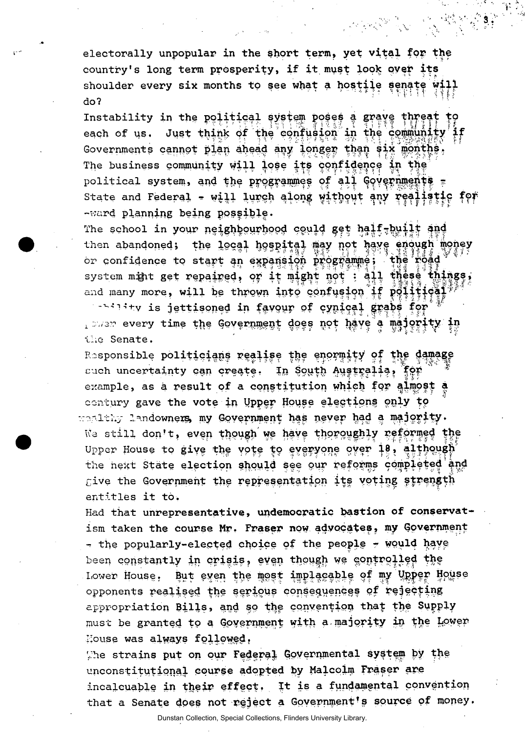electorally unpopular in the short term, yet vital for the country's long term prosperity, if it must look over its shoulder every six months to see what a hostile senate will do?

and a shirt of the same of the same of the same of the same of the same of the same of the same of the same of<br>The same of the same of the same of the same of the same of the same of the same of the same of the same of th

Instability in the political system poses a grave threat to each of us. Just think of the confusion in the community Covernments cannot plan ahead any longer than six months. The business community will lose its confidence in the political system, and the programmes of all Governments = State and Federal - will lurch along without any realistic for -ward planning being possible.

The school in your neighbourhood could get half-built and then abandoned; the local hospital may not have enough money or confidence to start an expansion programme; the road system mint get repaired, or it might not : ail these things, and many more, will be thrown into confusion if polities  $\mathbf{r}^*$ 

sabe for it is jettisoned in favour of cynical grabe for **Tansa sach time the constituted does bot pane a waiotith in** the Senate.

Responsible politicians realise the enormity of the damage such uncertainty can create. In South Australia, for example, as a result of a constitution which for almost a century gave the vote in Upper House elections only to wealthy landowners my Government has never had a majority. We still don't, even though we have thoroughly reformed the Upper House to give the vote to everyone over 18, although the next State election should see our reforms completed and give the Government the representation its voting strength entitles it to.

Had that unrepresentative, undemocratic bastion of conservatism taken the course Mr. Fraser now advocates, my Government - the popularly-elected choice of the people - would have been constantly in crisis, even though we controlled the Lower House, But even the most implacable of my Upper House opponents realised the serious consequences of rejecting appropriation Bills, and so the convention that the Supply must be granted to a Government with a majority in the Lower House was always followed.

The strains put on our Federal Governmental system by the unconstitutional course adopted by Malcolm Fraser are incalcuable in their effect. It is a fundamental convention that a Senate does not reject a Government's source of money.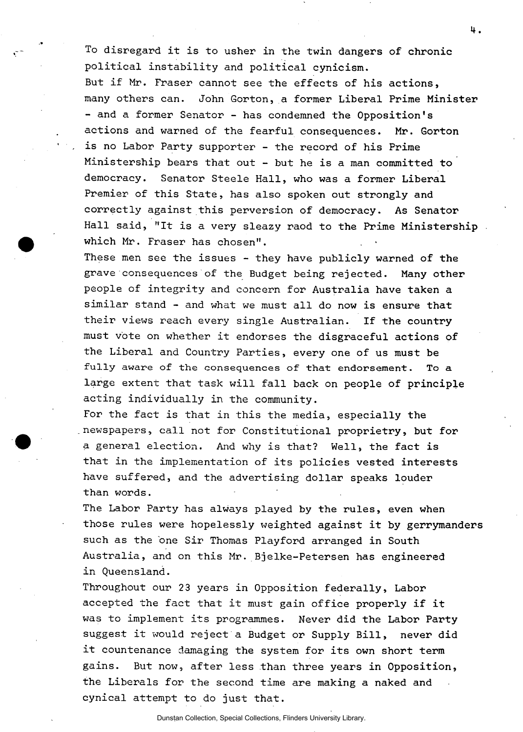**To disregard it is to usher in the twin dangers of chronic political instability and political cynicism. But if Mr. Fraser cannot see the effects of his actions, many others can. John Gorton, a former Liberal Prime Minister - and a former Senator - has condemned the Opposition's actions and warned of the fearful consequences. Mr. Gorton is no Labor Party supporter - the record of his Prime Ministership bears that out - but he is a man committed to democracy. Senator Steele Hall, who was a former Liberal Premier of this State, has also spoken out strongly and correctly against this perversion of democracy. As Senator Hall said, "It is a very sleazy raod to the Prime Ministership which Mr. Fraser has chosen".** 

**These men see the issues - they have publicly warned of the grave consequences of the Budget being rejected. Many other people of integrity and concern for Australia have taken a similar stand - and what we must all do now is ensure that their views reach every single Australian. If the country must vote on whether it endorses the disgraceful actions of the Liberal and Country Parties, every one of us must be fully aware of the consequences of that endorsement. To a large extent that task will fall back on people of principle acting individually in the community.** 

**For the fact is that in this the media, especially the newspapers, call not for Constitutional proprietry, but for a general election. And why is that? Well, the fact is that in the implementation of its policies vested interests have suffered, and the advertising dollar speaks louder than words.** 

**The Labor Party has always played by the rules, even when those rules were hopelessly weighted against it by gerrymanders**  such as the one Sir Thomas Playford arranged in South **Australia, and on this Mr. Bjelke-Petersen has engineered in Queensland.** 

**Throughout our 23 years in Opposition federally, Labor accepted the fact that it must gain office properly if it was to implement its programmes. Never did the Labor Party suggest it would reject a Budget or Supply Bill, never did it countenance damaging the system for its own short term gains. But now, after less than three years in Opposition, the Liberals for the second time are making a naked and cynical attempt to do just that.**